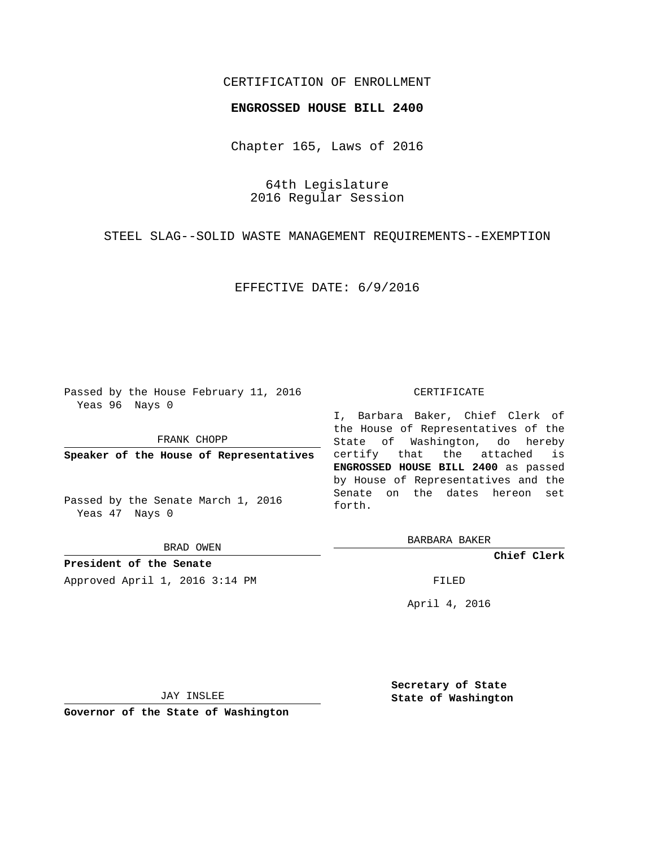# CERTIFICATION OF ENROLLMENT

### **ENGROSSED HOUSE BILL 2400**

Chapter 165, Laws of 2016

64th Legislature 2016 Regular Session

STEEL SLAG--SOLID WASTE MANAGEMENT REQUIREMENTS--EXEMPTION

EFFECTIVE DATE: 6/9/2016

Passed by the House February 11, 2016 Yeas 96 Nays 0

FRANK CHOPP

**Speaker of the House of Representatives**

Passed by the Senate March 1, 2016 Yeas 47 Nays 0

BRAD OWEN

**President of the Senate** Approved April 1, 2016 3:14 PM FILED

#### CERTIFICATE

I, Barbara Baker, Chief Clerk of the House of Representatives of the State of Washington, do hereby certify that the attached is **ENGROSSED HOUSE BILL 2400** as passed by House of Representatives and the Senate on the dates hereon set forth.

BARBARA BAKER

**Chief Clerk**

April 4, 2016

JAY INSLEE

**Governor of the State of Washington**

**Secretary of State State of Washington**